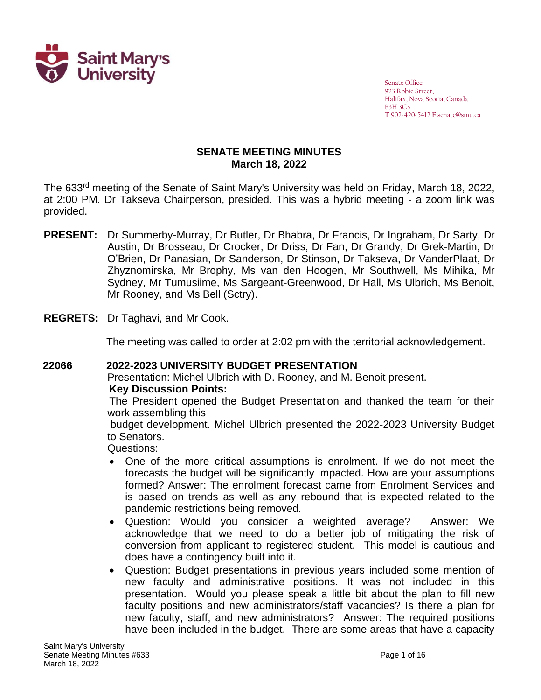

Senate Office 923 Robie Street, Halifax, Nova Scotia, Canada B3H 3C3 **T** 902-420-5412 **E** senate@smu.ca

#### **SENATE MEETING MINUTES March 18, 2022**

The 633<sup>rd</sup> meeting of the Senate of Saint Mary's University was held on Friday, March 18, 2022, at 2:00 PM. Dr Takseva Chairperson, presided. This was a hybrid meeting - a zoom link was provided.

- PRESENT: Dr Summerby-Murray, Dr Butler, Dr Bhabra, Dr Francis, Dr Ingraham, Dr Sarty, Dr Austin, Dr Brosseau, Dr Crocker, Dr Driss, Dr Fan, Dr Grandy, Dr Grek-Martin, Dr O'Brien, Dr Panasian, Dr Sanderson, Dr Stinson, Dr Takseva, Dr VanderPlaat, Dr Zhyznomirska, Mr Brophy, Ms van den Hoogen, Mr Southwell, Ms Mihika, Mr Sydney, Mr Tumusiime, Ms Sargeant-Greenwood, Dr Hall, Ms Ulbrich, Ms Benoit, Mr Rooney, and Ms Bell (Sctry). Ingraham, Dr
- **REGRETS:** Dr Taghavi, and Mr Cook.

The meeting was called to order at 2:02 pm with the territorial acknowledgement.

#### **22066 2022-2023 UNIVERSITY BUDGET PRESENTATION** Presentation: Michel Ulbrich with D. Rooney, and M. Benoit present. **Key Discussion Points:**

The President opened the Budget Presentation and thanked the team for their work assembling this

budget development. Michel Ulbrich presented the 2022-2023 University Budget to Senators.

Questions:

- One of the more critical assumptions is enrolment. If we do not meet the forecasts the budget will be significantly impacted. How are your assumptions formed? Answer: The enrolment forecast came from Enrolment Services and is based on trends as well as any rebound that is expected related to the pandemic restrictions being removed.
- Question: Would you consider a weighted average? Answer: We acknowledge that we need to do a better job of mitigating the risk of conversion from applicant to registered student. This model is cautious and does have a contingency built into it.
- Question: Budget presentations in previous years included some mention of new faculty and administrative positions. It was not included in this presentation. Would you please speak a little bit about the plan to fill new faculty positions and new administrators/staff vacancies? Is there a plan for new faculty, staff, and new administrators? Answer: The required positions have been included in the budget. There are some areas that have a capacity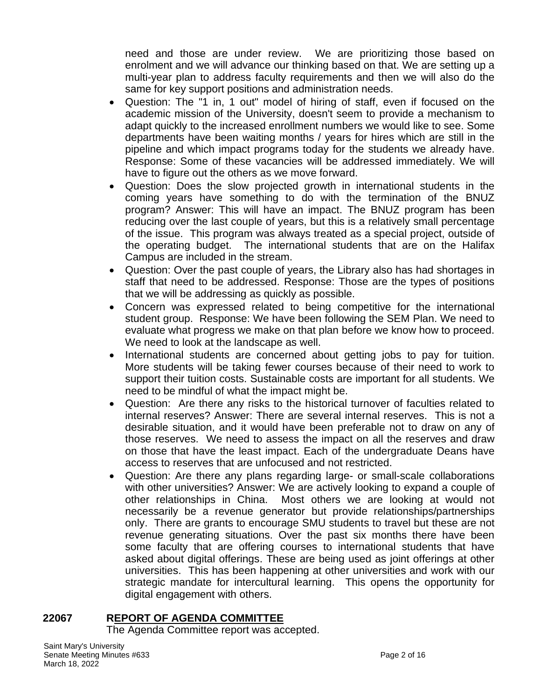need and those are under review. We are prioritizing those based on enrolment and we will advance our thinking based on that. We are setting up a multi-year plan to address faculty requirements and then we will also do the same for key support positions and administration needs.

- Question: The "1 in, 1 out" model of hiring of staff, even if focused on the academic mission of the University, doesn't seem to provide a mechanism to adapt quickly to the increased enrollment numbers we would like to see. Some departments have been waiting months / years for hires which are still in the pipeline and which impact programs today for the students we already have. Response: Some of these vacancies will be addressed immediately. We will have to figure out the others as we move forward.
- Question: Does the slow projected growth in international students in the coming years have something to do with the termination of the BNUZ program? Answer: This will have an impact. The BNUZ program has been reducing over the last couple of years, but this is a relatively small percentage of the issue. This program was always treated as a special project, outside of the operating budget. The international students that are on the Halifax Campus are included in the stream.
- Question: Over the past couple of years, the Library also has had shortages in staff that need to be addressed. Response: Those are the types of positions that we will be addressing as quickly as possible.
- Concern was expressed related to being competitive for the international student group. Response: We have been following the SEM Plan. We need to evaluate what progress we make on that plan before we know how to proceed. We need to look at the landscape as well.
- International students are concerned about getting jobs to pay for tuition. More students will be taking fewer courses because of their need to work to support their tuition costs. Sustainable costs are important for all students. We need to be mindful of what the impact might be.
- Question: Are there any risks to the historical turnover of faculties related to internal reserves? Answer: There are several internal reserves. This is not a desirable situation, and it would have been preferable not to draw on any of those reserves. We need to assess the impact on all the reserves and draw on those that have the least impact. Each of the undergraduate Deans have access to reserves that are unfocused and not restricted.
- Question: Are there any plans regarding large- or small-scale collaborations with other universities? Answer: We are actively looking to expand a couple of other relationships in China. Most others we are looking at would not necessarily be a revenue generator but provide relationships/partnerships only. There are grants to encourage SMU students to travel but these are not revenue generating situations. Over the past six months there have been some faculty that are offering courses to international students that have asked about digital offerings. These are being used as joint offerings at other universities. This has been happening at other universities and work with our strategic mandate for intercultural learning. This opens the opportunity for digital engagement with others.

#### **22067 REPORT OF AGENDA COMMITTEE**

The Agenda Committee report was accepted.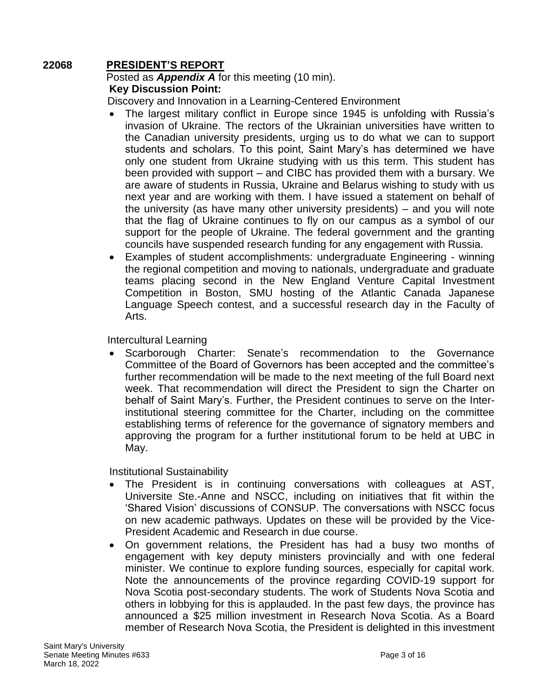### **22068 PRESIDENT'S REPORT**

#### Posted as *Appendix A* for this meeting (10 min). **Key Discussion Point:**

Discovery and Innovation in a Learning-Centered Environment

- The largest military conflict in Europe since 1945 is unfolding with Russia's invasion of Ukraine. The rectors of the Ukrainian universities have written to the Canadian university presidents, urging us to do what we can to support students and scholars. To this point, Saint Mary's has determined we have only one student from Ukraine studying with us this term. This student has been provided with support – and CIBC has provided them with a bursary. We are aware of students in Russia, Ukraine and Belarus wishing to study with us next year and are working with them. I have issued a statement on behalf of the university (as have many other university presidents) – and you will note that the flag of Ukraine continues to fly on our campus as a symbol of our support for the people of Ukraine. The federal government and the granting councils have suspended research funding for any engagement with Russia.
- Examples of student accomplishments: undergraduate Engineering winning the regional competition and moving to nationals, undergraduate and graduate teams placing second in the New England Venture Capital Investment Competition in Boston, SMU hosting of the Atlantic Canada Japanese Language Speech contest, and a successful research day in the Faculty of Arts.

Intercultural Learning

• Scarborough Charter: Senate's recommendation to the Governance Committee of the Board of Governors has been accepted and the committee's further recommendation will be made to the next meeting of the full Board next week. That recommendation will direct the President to sign the Charter on behalf of Saint Mary's. Further, the President continues to serve on the Interinstitutional steering committee for the Charter, including on the committee establishing terms of reference for the governance of signatory members and approving the program for a further institutional forum to be held at UBC in May.

Institutional Sustainability

- The President is in continuing conversations with colleagues at AST, Universite Ste.-Anne and NSCC, including on initiatives that fit within the 'Shared Vision' discussions of CONSUP. The conversations with NSCC focus on new academic pathways. Updates on these will be provided by the Vice-President Academic and Research in due course.
- On government relations, the President has had a busy two months of engagement with key deputy ministers provincially and with one federal minister. We continue to explore funding sources, especially for capital work. Note the announcements of the province regarding COVID-19 support for Nova Scotia post-secondary students. The work of Students Nova Scotia and others in lobbying for this is applauded. In the past few days, the province has announced a \$25 million investment in Research Nova Scotia. As a Board member of Research Nova Scotia, the President is delighted in this investment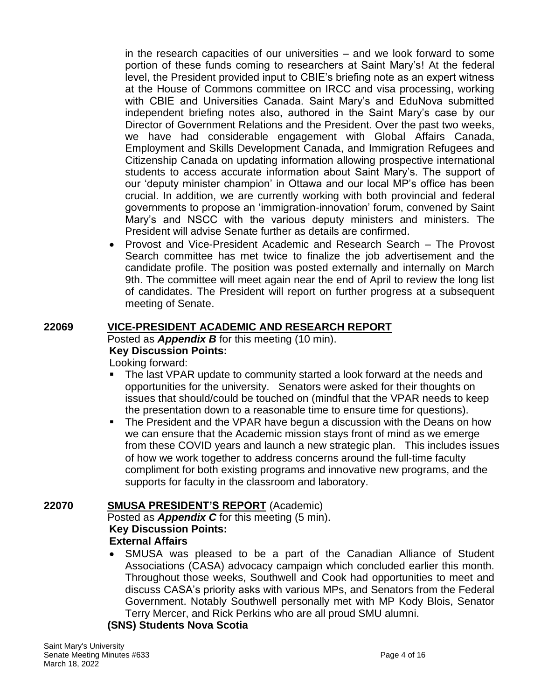in the research capacities of our universities – and we look forward to some portion of these funds coming to researchers at Saint Mary's! At the federal level, the President provided input to CBIE's briefing note as an expert witness at the House of Commons committee on IRCC and visa processing, working with CBIE and Universities Canada. Saint Mary's and EduNova submitted independent briefing notes also, authored in the Saint Mary's case by our Director of Government Relations and the President. Over the past two weeks, we have had considerable engagement with Global Affairs Canada, Employment and Skills Development Canada, and Immigration Refugees and Citizenship Canada on updating information allowing prospective international students to access accurate information about Saint Mary's. The support of our 'deputy minister champion' in Ottawa and our local MP's office has been crucial. In addition, we are currently working with both provincial and federal governments to propose an 'immigration-innovation' forum, convened by Saint Mary's and NSCC with the various deputy ministers and ministers. The President will advise Senate further as details are confirmed.

• Provost and Vice-President Academic and Research Search – The Provost Search committee has met twice to finalize the job advertisement and the candidate profile. The position was posted externally and internally on March 9th. The committee will meet again near the end of April to review the long list of candidates. The President will report on further progress at a subsequent meeting of Senate.

### **22069 VICE-PRESIDENT ACADEMIC AND RESEARCH REPORT**

Posted as *Appendix B* for this meeting (10 min). **Key Discussion Points:**

Looking forward:

- The last VPAR update to community started a look forward at the needs and opportunities for the university. Senators were asked for their thoughts on issues that should/could be touched on (mindful that the VPAR needs to keep the presentation down to a reasonable time to ensure time for questions).
- The President and the VPAR have begun a discussion with the Deans on how we can ensure that the Academic mission stays front of mind as we emerge from these COVID years and launch a new strategic plan. This includes issues of how we work together to address concerns around the full‐time faculty compliment for both existing programs and innovative new programs, and the supports for faculty in the classroom and laboratory.

# **22070 SMUSA PRESIDENT'S REPORT** (Academic)

Posted as *Appendix C* for this meeting (5 min). **Key Discussion Points: External Affairs**

• SMUSA was pleased to be a part of the Canadian Alliance of Student Associations (CASA) advocacy campaign which concluded earlier this month. Throughout those weeks, Southwell and Cook had opportunities to meet and discuss CASA's priority asks with various MPs, and Senators from the Federal Government. Notably Southwell personally met with MP Kody Blois, Senator Terry Mercer, and Rick Perkins who are all proud SMU alumni.

# **(SNS) Students Nova Scotia**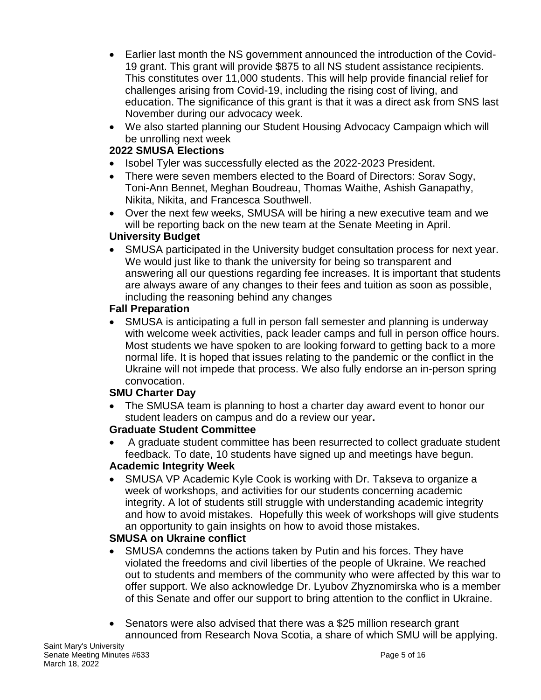- Earlier last month the NS government announced the introduction of the Covid-19 grant. This grant will provide \$875 to all NS student assistance recipients. This constitutes over 11,000 students. This will help provide financial relief for challenges arising from Covid-19, including the rising cost of living, and education. The significance of this grant is that it was a direct ask from SNS last November during our advocacy week.
- We also started planning our Student Housing Advocacy Campaign which will be unrolling next week

## **2022 SMUSA Elections**

- Isobel Tyler was successfully elected as the 2022-2023 President.
- There were seven members elected to the Board of Directors: Sorav Sogy, Toni-Ann Bennet, Meghan Boudreau, Thomas Waithe, Ashish Ganapathy, Nikita, Nikita, and Francesca Southwell.
- Over the next few weeks, SMUSA will be hiring a new executive team and we will be reporting back on the new team at the Senate Meeting in April.

### **University Budget**

• SMUSA participated in the University budget consultation process for next year. We would just like to thank the university for being so transparent and answering all our questions regarding fee increases. It is important that students are always aware of any changes to their fees and tuition as soon as possible, including the reasoning behind any changes

### **Fall Preparation**

• SMUSA is anticipating a full in person fall semester and planning is underway with welcome week activities, pack leader camps and full in person office hours. Most students we have spoken to are looking forward to getting back to a more normal life. It is hoped that issues relating to the pandemic or the conflict in the Ukraine will not impede that process. We also fully endorse an in-person spring convocation.

### **SMU Charter Day**

• The SMUSA team is planning to host a charter day award event to honor our student leaders on campus and do a review our year**.**

# **Graduate Student Committee**

• A graduate student committee has been resurrected to collect graduate student feedback. To date, 10 students have signed up and meetings have begun.

### **Academic Integrity Week**

• SMUSA VP Academic Kyle Cook is working with Dr. Takseva to organize a week of workshops, and activities for our students concerning academic integrity. A lot of students still struggle with understanding academic integrity and how to avoid mistakes. Hopefully this week of workshops will give students an opportunity to gain insights on how to avoid those mistakes.

### **SMUSA on Ukraine conflict**

- SMUSA condemns the actions taken by Putin and his forces. They have violated the freedoms and civil liberties of the people of Ukraine. We reached out to students and members of the community who were affected by this war to offer support. We also acknowledge Dr. Lyubov Zhyznomirska who is a member of this Senate and offer our support to bring attention to the conflict in Ukraine.
- Senators were also advised that there was a \$25 million research grant announced from Research Nova Scotia, a share of which SMU will be applying.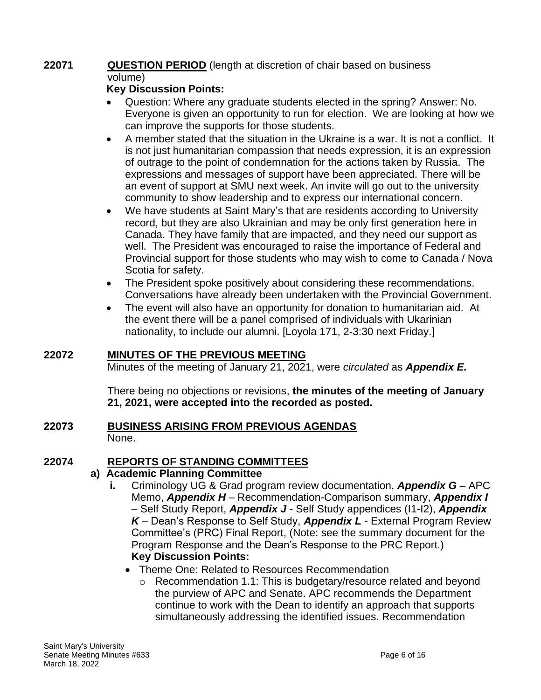#### **22071 QUESTION PERIOD** (length at discretion of chair based on business volume)

## **Key Discussion Points:**

- Question: Where any graduate students elected in the spring? Answer: No. Everyone is given an opportunity to run for election. We are looking at how we can improve the supports for those students.
- A member stated that the situation in the Ukraine is a war. It is not a conflict. It is not just humanitarian compassion that needs expression, it is an expression of outrage to the point of condemnation for the actions taken by Russia. The expressions and messages of support have been appreciated. There will be an event of support at SMU next week. An invite will go out to the university community to show leadership and to express our international concern.
- We have students at Saint Mary's that are residents according to University record, but they are also Ukrainian and may be only first generation here in Canada. They have family that are impacted, and they need our support as well. The President was encouraged to raise the importance of Federal and Provincial support for those students who may wish to come to Canada / Nova Scotia for safety.
- The President spoke positively about considering these recommendations. Conversations have already been undertaken with the Provincial Government.
- The event will also have an opportunity for donation to humanitarian aid. At the event there will be a panel comprised of individuals with Ukarinian nationality, to include our alumni. [Loyola 171, 2-3:30 next Friday.]

### **22072 MINUTES OF THE PREVIOUS MEETING**

Minutes of the meeting of January 21, 2021, were *circulated* as *Appendix E.*

There being no objections or revisions, **the minutes of the meeting of January 21, 2021, were accepted into the recorded as posted.**

#### **22073 BUSINESS ARISING FROM PREVIOUS AGENDAS** None.

### **22074 REPORTS OF STANDING COMMITTEES**

### **a) Academic Planning Committee**

- **i.** Criminology UG & Grad program review documentation, *Appendix G* APC Memo, *Appendix H* – Recommendation-Comparison summary, *Appendix I* – Self Study Report, *Appendix J* - Self Study appendices (I1-I2), *Appendix K* – Dean's Response to Self Study, *Appendix L* - External Program Review Committee's (PRC) Final Report, (Note: see the summary document for the Program Response and the Dean's Response to the PRC Report.) **Key Discussion Points:**
	- Theme One: Related to Resources Recommendation
		- $\circ$  Recommendation 1.1: This is budgetary/resource related and beyond the purview of APC and Senate. APC recommends the Department continue to work with the Dean to identify an approach that supports simultaneously addressing the identified issues. Recommendation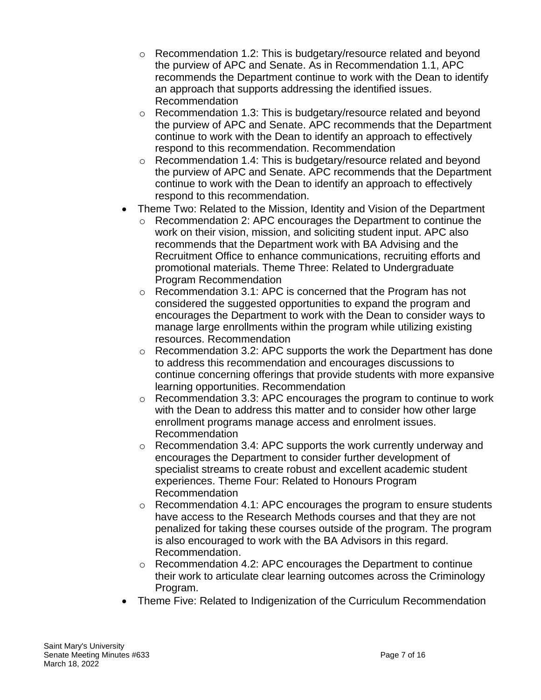- o Recommendation 1.2: This is budgetary/resource related and beyond the purview of APC and Senate. As in Recommendation 1.1, APC recommends the Department continue to work with the Dean to identify an approach that supports addressing the identified issues. Recommendation
- $\circ$  Recommendation 1.3: This is budgetary/resource related and beyond the purview of APC and Senate. APC recommends that the Department continue to work with the Dean to identify an approach to effectively respond to this recommendation. Recommendation
- o Recommendation 1.4: This is budgetary/resource related and beyond the purview of APC and Senate. APC recommends that the Department continue to work with the Dean to identify an approach to effectively respond to this recommendation.
- Theme Two: Related to the Mission, Identity and Vision of the Department
	- o Recommendation 2: APC encourages the Department to continue the work on their vision, mission, and soliciting student input. APC also recommends that the Department work with BA Advising and the Recruitment Office to enhance communications, recruiting efforts and promotional materials. Theme Three: Related to Undergraduate Program Recommendation
	- o Recommendation 3.1: APC is concerned that the Program has not considered the suggested opportunities to expand the program and encourages the Department to work with the Dean to consider ways to manage large enrollments within the program while utilizing existing resources. Recommendation
	- o Recommendation 3.2: APC supports the work the Department has done to address this recommendation and encourages discussions to continue concerning offerings that provide students with more expansive learning opportunities. Recommendation
	- o Recommendation 3.3: APC encourages the program to continue to work with the Dean to address this matter and to consider how other large enrollment programs manage access and enrolment issues. Recommendation
	- o Recommendation 3.4: APC supports the work currently underway and encourages the Department to consider further development of specialist streams to create robust and excellent academic student experiences. Theme Four: Related to Honours Program Recommendation
	- o Recommendation 4.1: APC encourages the program to ensure students have access to the Research Methods courses and that they are not penalized for taking these courses outside of the program. The program is also encouraged to work with the BA Advisors in this regard. Recommendation.
	- o Recommendation 4.2: APC encourages the Department to continue their work to articulate clear learning outcomes across the Criminology Program.
- Theme Five: Related to Indigenization of the Curriculum Recommendation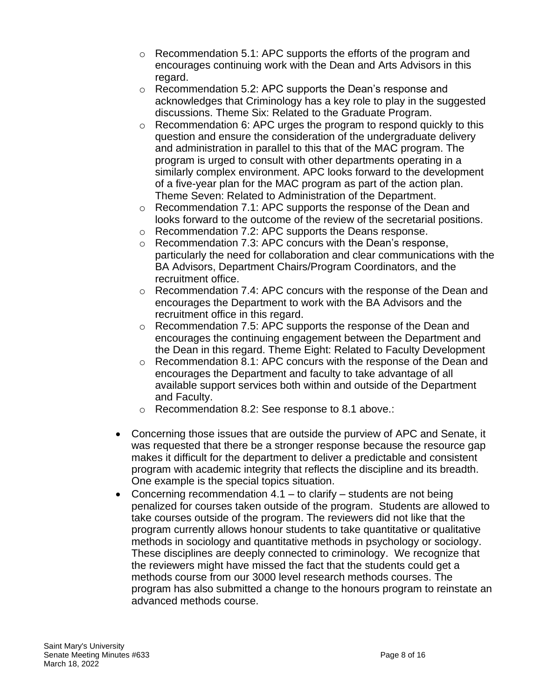- o Recommendation 5.1: APC supports the efforts of the program and encourages continuing work with the Dean and Arts Advisors in this regard.
- o Recommendation 5.2: APC supports the Dean's response and acknowledges that Criminology has a key role to play in the suggested discussions. Theme Six: Related to the Graduate Program.
- $\circ$  Recommendation 6: APC urges the program to respond quickly to this question and ensure the consideration of the undergraduate delivery and administration in parallel to this that of the MAC program. The program is urged to consult with other departments operating in a similarly complex environment. APC looks forward to the development of a five-year plan for the MAC program as part of the action plan. Theme Seven: Related to Administration of the Department.
- o Recommendation 7.1: APC supports the response of the Dean and looks forward to the outcome of the review of the secretarial positions.
- o Recommendation 7.2: APC supports the Deans response.
- o Recommendation 7.3: APC concurs with the Dean's response, particularly the need for collaboration and clear communications with the BA Advisors, Department Chairs/Program Coordinators, and the recruitment office.
- $\circ$  Recommendation 7.4: APC concurs with the response of the Dean and encourages the Department to work with the BA Advisors and the recruitment office in this regard.
- $\circ$  Recommendation 7.5: APC supports the response of the Dean and encourages the continuing engagement between the Department and the Dean in this regard. Theme Eight: Related to Faculty Development
- $\circ$  Recommendation 8.1: APC concurs with the response of the Dean and encourages the Department and faculty to take advantage of all available support services both within and outside of the Department and Faculty.
- o Recommendation 8.2: See response to 8.1 above.:
- Concerning those issues that are outside the purview of APC and Senate, it was requested that there be a stronger response because the resource gap makes it difficult for the department to deliver a predictable and consistent program with academic integrity that reflects the discipline and its breadth. One example is the special topics situation.
- Concerning recommendation  $4.1 -$  to clarify  $-$  students are not being penalized for courses taken outside of the program. Students are allowed to take courses outside of the program. The reviewers did not like that the program currently allows honour students to take quantitative or qualitative methods in sociology and quantitative methods in psychology or sociology. These disciplines are deeply connected to criminology. We recognize that the reviewers might have missed the fact that the students could get a methods course from our 3000 level research methods courses. The program has also submitted a change to the honours program to reinstate an advanced methods course.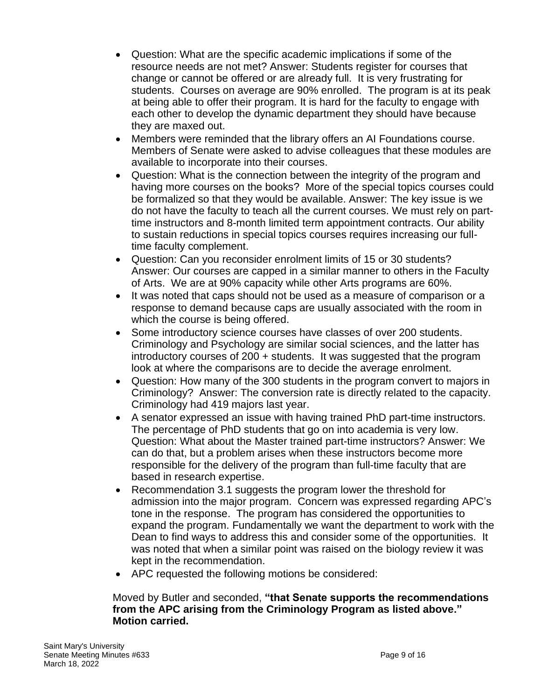- Question: What are the specific academic implications if some of the resource needs are not met? Answer: Students register for courses that change or cannot be offered or are already full. It is very frustrating for students. Courses on average are 90% enrolled. The program is at its peak at being able to offer their program. It is hard for the faculty to engage with each other to develop the dynamic department they should have because they are maxed out.
- Members were reminded that the library offers an AI Foundations course. Members of Senate were asked to advise colleagues that these modules are available to incorporate into their courses.
- Question: What is the connection between the integrity of the program and having more courses on the books? More of the special topics courses could be formalized so that they would be available. Answer: The key issue is we do not have the faculty to teach all the current courses. We must rely on parttime instructors and 8-month limited term appointment contracts. Our ability to sustain reductions in special topics courses requires increasing our fulltime faculty complement.
- Question: Can you reconsider enrolment limits of 15 or 30 students? Answer: Our courses are capped in a similar manner to others in the Faculty of Arts. We are at 90% capacity while other Arts programs are 60%.
- It was noted that caps should not be used as a measure of comparison or a response to demand because caps are usually associated with the room in which the course is being offered.
- Some introductory science courses have classes of over 200 students. Criminology and Psychology are similar social sciences, and the latter has introductory courses of 200 + students. It was suggested that the program look at where the comparisons are to decide the average enrolment.
- Question: How many of the 300 students in the program convert to majors in Criminology? Answer: The conversion rate is directly related to the capacity. Criminology had 419 majors last year.
- A senator expressed an issue with having trained PhD part-time instructors. The percentage of PhD students that go on into academia is very low. Question: What about the Master trained part-time instructors? Answer: We can do that, but a problem arises when these instructors become more responsible for the delivery of the program than full-time faculty that are based in research expertise.
- Recommendation 3.1 suggests the program lower the threshold for admission into the major program. Concern was expressed regarding APC's tone in the response. The program has considered the opportunities to expand the program. Fundamentally we want the department to work with the Dean to find ways to address this and consider some of the opportunities. It was noted that when a similar point was raised on the biology review it was kept in the recommendation.
- APC requested the following motions be considered:

#### Moved by Butler and seconded, **"that Senate supports the recommendations from the APC arising from the Criminology Program as listed above." Motion carried.**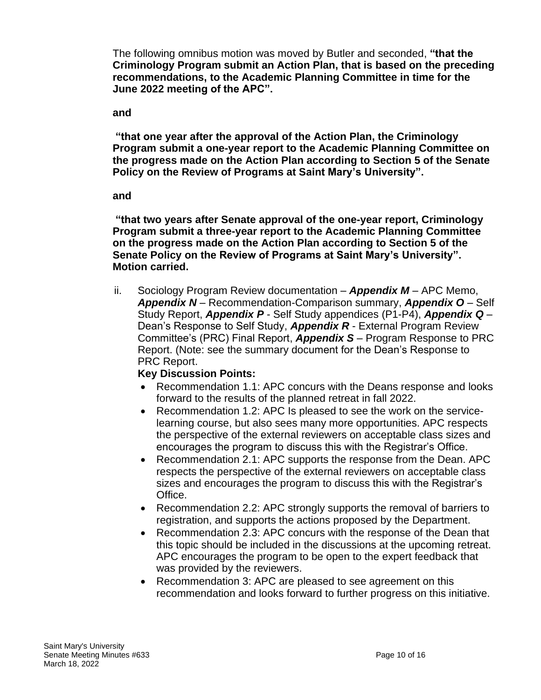The following omnibus motion was moved by Butler and seconded, **"that the Criminology Program submit an Action Plan, that is based on the preceding recommendations, to the Academic Planning Committee in time for the June 2022 meeting of the APC".** 

#### **and**

**"that one year after the approval of the Action Plan, the Criminology Program submit a one-year report to the Academic Planning Committee on the progress made on the Action Plan according to Section 5 of the Senate Policy on the Review of Programs at Saint Mary's University".** 

#### **and**

**"that two years after Senate approval of the one-year report, Criminology Program submit a three-year report to the Academic Planning Committee on the progress made on the Action Plan according to Section 5 of the Senate Policy on the Review of Programs at Saint Mary's University". Motion carried.**

ii. Sociology Program Review documentation – *Appendix M* – APC Memo, *Appendix N* – Recommendation-Comparison summary, *Appendix O* – Self Study Report, *Appendix P* - Self Study appendices (P1-P4), *Appendix Q* – Dean's Response to Self Study, *Appendix R* - External Program Review Committee's (PRC) Final Report, *Appendix S* – Program Response to PRC Report. (Note: see the summary document for the Dean's Response to PRC Report.

### **Key Discussion Points:**

- Recommendation 1.1: APC concurs with the Deans response and looks forward to the results of the planned retreat in fall 2022.
- Recommendation 1.2: APC Is pleased to see the work on the servicelearning course, but also sees many more opportunities. APC respects the perspective of the external reviewers on acceptable class sizes and encourages the program to discuss this with the Registrar's Office.
- Recommendation 2.1: APC supports the response from the Dean. APC respects the perspective of the external reviewers on acceptable class sizes and encourages the program to discuss this with the Registrar's Office.
- Recommendation 2.2: APC strongly supports the removal of barriers to registration, and supports the actions proposed by the Department.
- Recommendation 2.3: APC concurs with the response of the Dean that this topic should be included in the discussions at the upcoming retreat. APC encourages the program to be open to the expert feedback that was provided by the reviewers.
- Recommendation 3: APC are pleased to see agreement on this recommendation and looks forward to further progress on this initiative.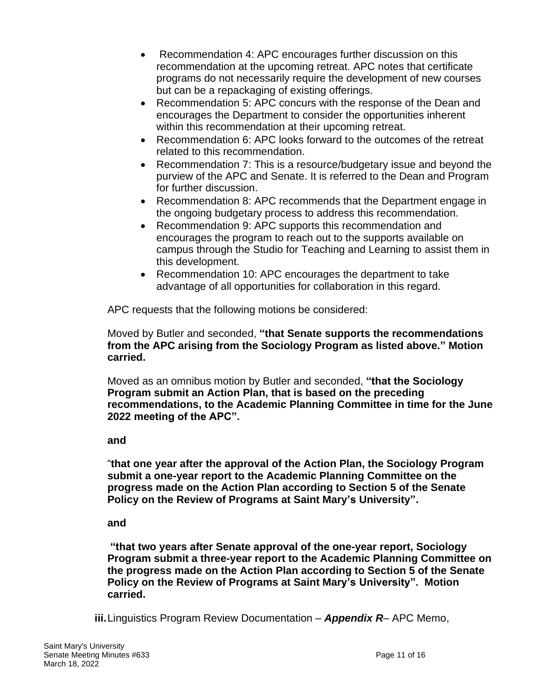- Recommendation 4: APC encourages further discussion on this recommendation at the upcoming retreat. APC notes that certificate programs do not necessarily require the development of new courses but can be a repackaging of existing offerings.
- Recommendation 5: APC concurs with the response of the Dean and encourages the Department to consider the opportunities inherent within this recommendation at their upcoming retreat.
- Recommendation 6: APC looks forward to the outcomes of the retreat related to this recommendation.
- Recommendation 7: This is a resource/budgetary issue and beyond the purview of the APC and Senate. It is referred to the Dean and Program for further discussion.
- Recommendation 8: APC recommends that the Department engage in the ongoing budgetary process to address this recommendation.
- Recommendation 9: APC supports this recommendation and encourages the program to reach out to the supports available on campus through the Studio for Teaching and Learning to assist them in this development.
- Recommendation 10: APC encourages the department to take advantage of all opportunities for collaboration in this regard.

APC requests that the following motions be considered:

Moved by Butler and seconded, **"that Senate supports the recommendations from the APC arising from the Sociology Program as listed above." Motion carried.**

Moved as an omnibus motion by Butler and seconded, **"that the Sociology Program submit an Action Plan, that is based on the preceding recommendations, to the Academic Planning Committee in time for the June 2022 meeting of the APC".**

#### **and**

"**that one year after the approval of the Action Plan, the Sociology Program submit a one-year report to the Academic Planning Committee on the progress made on the Action Plan according to Section 5 of the Senate Policy on the Review of Programs at Saint Mary's University".**

#### **and**

**"that two years after Senate approval of the one-year report, Sociology Program submit a three-year report to the Academic Planning Committee on the progress made on the Action Plan according to Section 5 of the Senate Policy on the Review of Programs at Saint Mary's University". Motion carried.**

**iii.**Linguistics Program Review Documentation – *Appendix R*– APC Memo,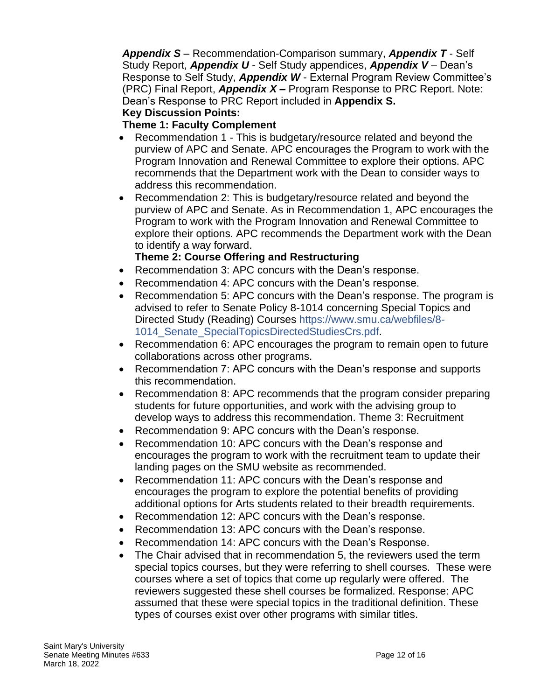*Appendix S* – Recommendation-Comparison summary, *Appendix T* - Self Study Report, *Appendix U* - Self Study appendices, *Appendix V* – Dean's Response to Self Study, *Appendix W* - External Program Review Committee's (PRC) Final Report, *Appendix X* **–** Program Response to PRC Report. Note: Dean's Response to PRC Report included in **Appendix S.**

**Key Discussion Points:**

#### **Theme 1: Faculty Complement**

- Recommendation 1 This is budgetary/resource related and beyond the purview of APC and Senate. APC encourages the Program to work with the Program Innovation and Renewal Committee to explore their options. APC recommends that the Department work with the Dean to consider ways to address this recommendation.
- Recommendation 2: This is budgetary/resource related and beyond the purview of APC and Senate. As in Recommendation 1, APC encourages the Program to work with the Program Innovation and Renewal Committee to explore their options. APC recommends the Department work with the Dean to identify a way forward.

#### **Theme 2: Course Offering and Restructuring**

- Recommendation 3: APC concurs with the Dean's response.
- Recommendation 4: APC concurs with the Dean's response.
- Recommendation 5: APC concurs with the Dean's response. The program is advised to refer to Senate Policy 8-1014 concerning Special Topics and Directed Study (Reading) Courses https://www.smu.ca/webfiles/8- 1014\_Senate\_SpecialTopicsDirectedStudiesCrs.pdf.
- Recommendation 6: APC encourages the program to remain open to future collaborations across other programs.
- Recommendation 7: APC concurs with the Dean's response and supports this recommendation.
- Recommendation 8: APC recommends that the program consider preparing students for future opportunities, and work with the advising group to develop ways to address this recommendation. Theme 3: Recruitment
- Recommendation 9: APC concurs with the Dean's response.
- Recommendation 10: APC concurs with the Dean's response and encourages the program to work with the recruitment team to update their landing pages on the SMU website as recommended.
- Recommendation 11: APC concurs with the Dean's response and encourages the program to explore the potential benefits of providing additional options for Arts students related to their breadth requirements.
- Recommendation 12: APC concurs with the Dean's response.
- Recommendation 13: APC concurs with the Dean's response.
- Recommendation 14: APC concurs with the Dean's Response.
- The Chair advised that in recommendation 5, the reviewers used the term special topics courses, but they were referring to shell courses. These were courses where a set of topics that come up regularly were offered. The reviewers suggested these shell courses be formalized. Response: APC assumed that these were special topics in the traditional definition. These types of courses exist over other programs with similar titles.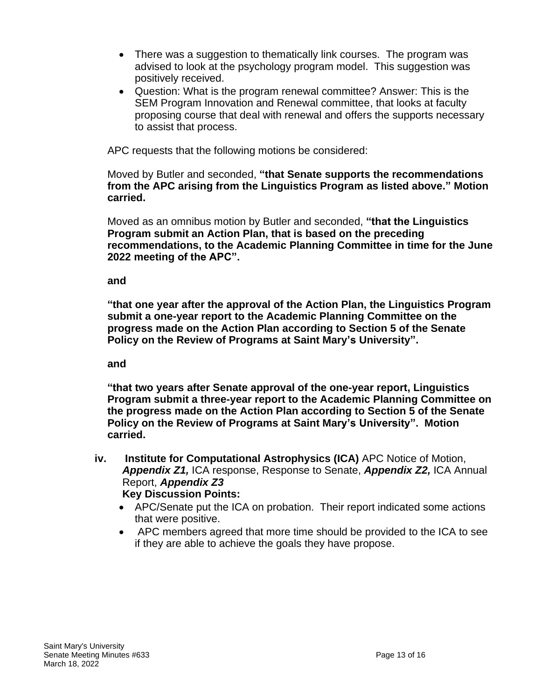- There was a suggestion to thematically link courses. The program was advised to look at the psychology program model. This suggestion was positively received.
- Question: What is the program renewal committee? Answer: This is the SEM Program Innovation and Renewal committee, that looks at faculty proposing course that deal with renewal and offers the supports necessary to assist that process.

APC requests that the following motions be considered:

Moved by Butler and seconded, **"that Senate supports the recommendations from the APC arising from the Linguistics Program as listed above." Motion carried.**

Moved as an omnibus motion by Butler and seconded, **"that the Linguistics Program submit an Action Plan, that is based on the preceding recommendations, to the Academic Planning Committee in time for the June 2022 meeting of the APC".**

#### **and**

**"that one year after the approval of the Action Plan, the Linguistics Program submit a one-year report to the Academic Planning Committee on the progress made on the Action Plan according to Section 5 of the Senate Policy on the Review of Programs at Saint Mary's University".**

#### **and**

**"that two years after Senate approval of the one-year report, Linguistics Program submit a three-year report to the Academic Planning Committee on the progress made on the Action Plan according to Section 5 of the Senate Policy on the Review of Programs at Saint Mary's University". Motion carried.**

- **iv. Institute for Computational Astrophysics (ICA)** APC Notice of Motion, *Appendix Z1,* ICA response, Response to Senate, *Appendix Z2,* ICA Annual Report, *Appendix Z3* **Key Discussion Points:**
	- APC/Senate put the ICA on probation. Their report indicated some actions that were positive.
	- APC members agreed that more time should be provided to the ICA to see if they are able to achieve the goals they have propose.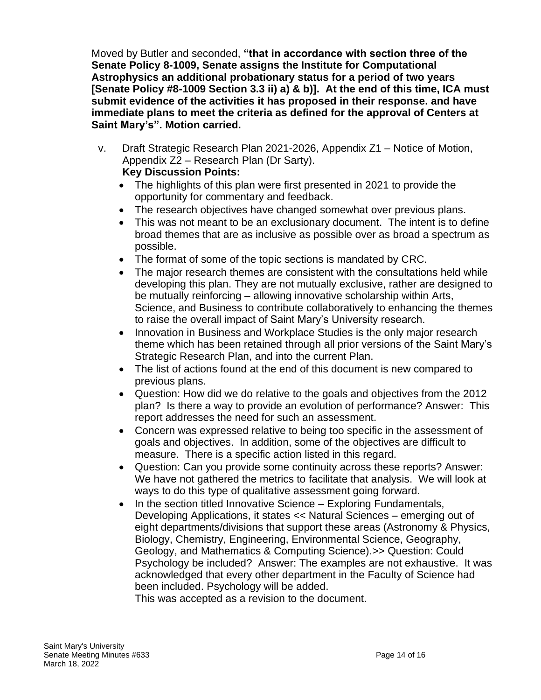Moved by Butler and seconded, **"that in accordance with section three of the Senate Policy 8-1009, Senate assigns the Institute for Computational Astrophysics an additional probationary status for a period of two years [Senate Policy #8-1009 Section 3.3 ii) a) & b)]. At the end of this time, ICA must submit evidence of the activities it has proposed in their response. and have immediate plans to meet the criteria as defined for the approval of Centers at Saint Mary's". Motion carried.**

- v. Draft Strategic Research Plan 2021-2026, Appendix Z1 Notice of Motion, Appendix Z2 – Research Plan (Dr Sarty). **Key Discussion Points:**
	- The highlights of this plan were first presented in 2021 to provide the opportunity for commentary and feedback.
	- The research objectives have changed somewhat over previous plans.
	- This was not meant to be an exclusionary document. The intent is to define broad themes that are as inclusive as possible over as broad a spectrum as possible.
	- The format of some of the topic sections is mandated by CRC.
	- The major research themes are consistent with the consultations held while developing this plan. They are not mutually exclusive, rather are designed to be mutually reinforcing – allowing innovative scholarship within Arts, Science, and Business to contribute collaboratively to enhancing the themes to raise the overall impact of Saint Mary's University research.
	- Innovation in Business and Workplace Studies is the only major research theme which has been retained through all prior versions of the Saint Mary's Strategic Research Plan, and into the current Plan.
	- The list of actions found at the end of this document is new compared to previous plans.
	- Question: How did we do relative to the goals and objectives from the 2012 plan? Is there a way to provide an evolution of performance? Answer: This report addresses the need for such an assessment.
	- Concern was expressed relative to being too specific in the assessment of goals and objectives. In addition, some of the objectives are difficult to measure. There is a specific action listed in this regard.
	- Question: Can you provide some continuity across these reports? Answer: We have not gathered the metrics to facilitate that analysis. We will look at ways to do this type of qualitative assessment going forward.
	- In the section titled Innovative Science Exploring Fundamentals, Developing Applications, it states << Natural Sciences – emerging out of eight departments/divisions that support these areas (Astronomy & Physics, Biology, Chemistry, Engineering, Environmental Science, Geography, Geology, and Mathematics & Computing Science).>> Question: Could Psychology be included? Answer: The examples are not exhaustive. It was acknowledged that every other department in the Faculty of Science had been included. Psychology will be added.

This was accepted as a revision to the document.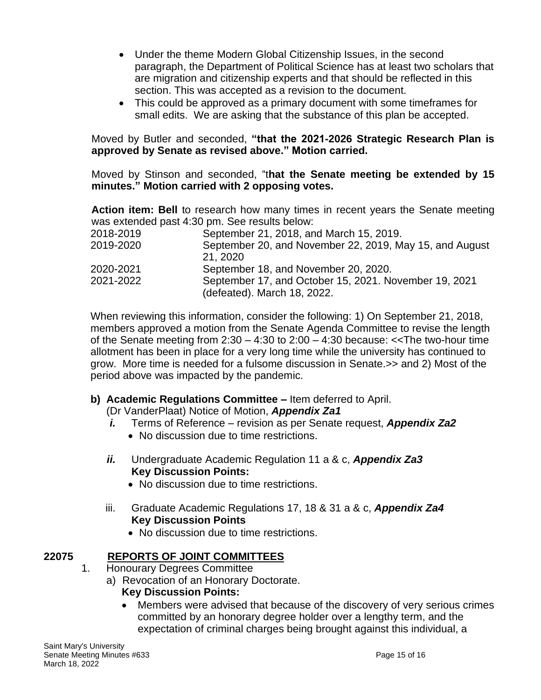- Under the theme Modern Global Citizenship Issues, in the second paragraph, the Department of Political Science has at least two scholars that are migration and citizenship experts and that should be reflected in this section. This was accepted as a revision to the document.
- This could be approved as a primary document with some timeframes for small edits. We are asking that the substance of this plan be accepted.

Moved by Butler and seconded, **"that the 2021-2026 Strategic Research Plan is approved by Senate as revised above." Motion carried.**

Moved by Stinson and seconded, "t**hat the Senate meeting be extended by 15 minutes." Motion carried with 2 opposing votes.**

**Action item: Bell** to research how many times in recent years the Senate meeting was extended past 4:30 pm. See results below:

| September 21, 2018, and March 15, 2019.                                              |
|--------------------------------------------------------------------------------------|
| September 20, and November 22, 2019, May 15, and August<br>21, 2020                  |
| September 18, and November 20, 2020.                                                 |
| September 17, and October 15, 2021. November 19, 2021<br>(defeated). March 18, 2022. |
|                                                                                      |

When reviewing this information, consider the following: 1) On September 21, 2018, members approved a motion from the Senate Agenda Committee to revise the length of the Senate meeting from  $2:30 - 4:30$  to  $2:00 - 4:30$  because:  $<<$ The two-hour time allotment has been in place for a very long time while the university has continued to grow. More time is needed for a fulsome discussion in Senate.>> and 2) Most of the period above was impacted by the pandemic.

### **b) Academic Regulations Committee –** Item deferred to April.

(Dr VanderPlaat) Notice of Motion, *Appendix Za1*

- *i.* Terms of Reference revision as per Senate request, *Appendix Za2*
	- No discussion due to time restrictions.
- *ii.* Undergraduate Academic Regulation 11 a & c, *Appendix Za3* **Key Discussion Points:**
	- No discussion due to time restrictions.
- iii. Graduate Academic Regulations 17, 18 & 31 a & c, *Appendix Za4* **Key Discussion Points**
	- No discussion due to time restrictions.

# **22075 REPORTS OF JOINT COMMITTEES**

- 1. Honourary Degrees Committee
	- a) Revocation of an Honorary Doctorate.
		- **Key Discussion Points:**
		- Members were advised that because of the discovery of very serious crimes committed by an honorary degree holder over a lengthy term, and the expectation of criminal charges being brought against this individual, a